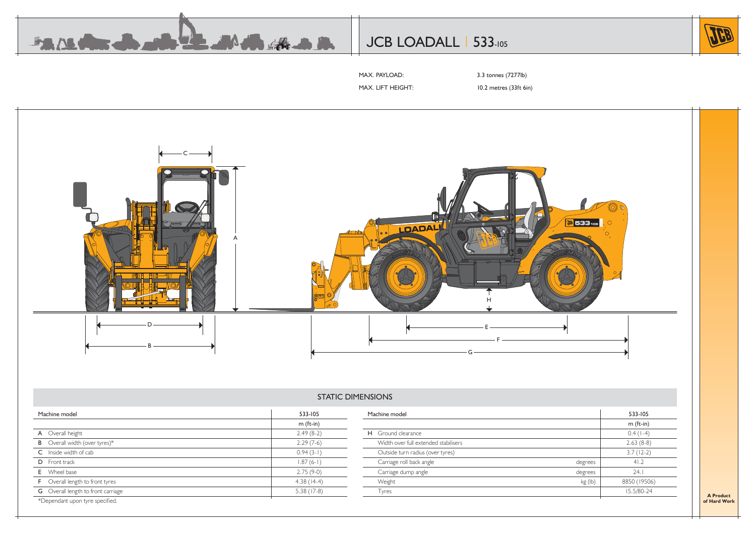

# JCB LOADALL | 533-105



MAX. PAYLOAD: 3.3 tonnes (7277lb)

MAX. LIFT HEIGHT: 10.2 metres (33ft 6in)



# STATIC DIMENSIONS

| Machine model                             | 533-105      | Machine model                        |         | 533-105      |
|-------------------------------------------|--------------|--------------------------------------|---------|--------------|
|                                           | $m$ (ft-in)  |                                      |         | $m$ (ft-in)  |
| A Overall height                          | $2.49(8-2)$  | H Ground clearance                   |         | $0.4(1-4)$   |
| <b>B</b> Overall width (over tyres)*      | $2.29(7-6)$  | Width over full extended stabilisers |         | $2.63(8-8)$  |
| C Inside width of cab                     | $0.94(3-1)$  | Outside turn radius (over tyres)     |         | $3.7(12-2)$  |
| D Front track                             | $1.87(6-1)$  | Carriage roll back angle             | degrees | 41.2         |
| E Wheel base                              | $2.75(9-0)$  | Carriage dump angle                  | degrees | 24.1         |
| <b>F</b> Overall length to front tyres    | $4.38(14-4)$ | Weight                               | kg (lb) | 8850 (19506) |
| <b>G</b> Overall length to front carriage | $5.38(17-8)$ | Tyres                                |         | 15.5/80-24   |
| *Dependant upon tyre specified.           |              |                                      |         |              |

**A Product of Hard Work**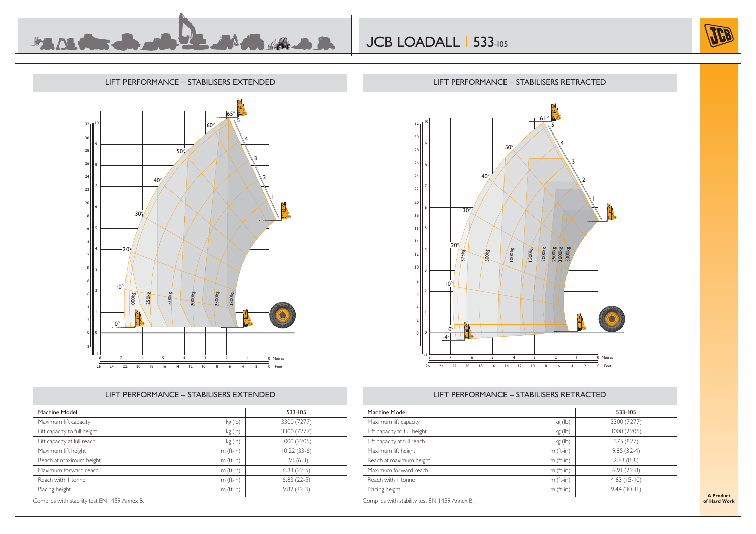





## LIFT PERFORMANCE – STABILISERS EXTENDED

| Machine Model                |             | 533-105       |
|------------------------------|-------------|---------------|
| Maximum lift capacity        | kg(h)       | 3300 (7277)   |
| Lift capacity to full height | kg (lb)     | 3300 (7277)   |
| Lift capacity at full reach  | kg(h)       | 1000 (2205)   |
| Maximum lift height          | $m$ (ft-in) | $10.22(33-6)$ |
| Reach at maximum height      | $m$ (ft-in) | $1.91(6-3)$   |
| Maximum forward reach        | $m$ (ft-in) | $6.83(22-5)$  |
| Reach with I tonne           | $m$ (ft-in) | $6.83(22-5)$  |
| Placing height               | $m$ (ft-in) | $9.82(32-3)$  |

Complies with stability test EN 1459 Annex B.



## LIFT PERFORMANCE – STABILISERS RETRACTED

| Machine Model                |             | 533-105       |
|------------------------------|-------------|---------------|
| Maximum lift capacity        | kg(h)       | 3300 (7277)   |
| Lift capacity to full height | kg(h)       | 1000 (2205)   |
| Lift capacity at full reach  | kg(h)       | 375 (827)     |
| Maximum lift height          | $m$ (ft-in) | $9.85(32-4)$  |
| Reach at maximum height      | $m$ (ft-in) | $2.63(8-8)$   |
| Maximum forward reach        | $m$ (ft-in) | $6.91(22-8)$  |
| Reach with I tonne           | $m$ (ft-in) | $4.83(15-10)$ |
| Placing height               | $m$ (ft-in) | $9.44(30-11)$ |

**A Product of Hard Work**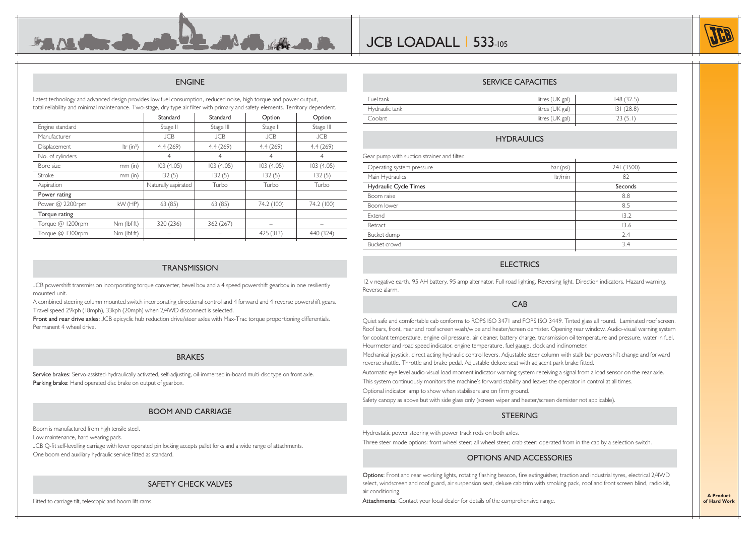#### ENGINE

Latest technology and advanced design provides low fuel consumption, reduced noise, high torque and power output, total reliability and minimal maintenance. Two-stage, dry type air filter with primary and safety elements. Territory dependent.

**FAILURE De alb 22 Mille de la R** 

|                  |              | Standard            | Standard   | Option     | Option     |
|------------------|--------------|---------------------|------------|------------|------------|
| Engine standard  |              | Stage II            | Stage III  | Stage II   | Stage III  |
| Manufacturer     |              | <b>JCB</b>          | <b>JCB</b> | <b>JCB</b> | <b>JCB</b> |
| Displacement     | Itr $(in^3)$ | 4.4(269)            | 4.4(269)   | 4.4(269)   | 4.4(269)   |
| No. of cylinders |              | $\overline{4}$      | 4          | 4          | 4          |
| Bore size        | $mm$ (in)    | 103(4.05)           | 103(4.05)  | 103(4.05)  | 103(4.05)  |
| <b>Stroke</b>    | $mm$ (in)    | 132(5)              | 132(5)     | 132(5)     | 132(5)     |
| Aspiration       |              | Naturally aspirated | Turbo      | Turbo      | Turbo      |
| Power rating     |              |                     |            |            |            |
| Power @ 2200rpm  | kW (HP)      | 63(85)              | 63(85)     | 74.2 (100) | 74.2 (100) |
| Torque rating    |              |                     |            |            |            |
| Torque @ 1200rpm | Nm (lbf ft)  | 320 (236)           | 362 (267)  |            |            |
| Torque @ 1300rpm | Nm (lbf ft)  |                     |            | 425(313)   | 440 (324)  |
|                  |              |                     |            |            |            |

#### **TRANSMISSION**

JCB powershift transmission incorporating torque converter, bevel box and a 4 speed powershift gearbox in one resiliently mounted unit.

A combined steering column mounted switch incorporating directional control and 4 forward and 4 reverse powershift gears. Travel speed 29kph (18mph), 33kph (20mph) when 2/4WD disconnect is selected.

Front and rear drive axles: JCB epicyclic hub reduction drive/steer axles with Max-Trac torque proportioning differentials. Permanent 4 wheel drive.

#### BRAKES

Service brakes: Servo-assisted-hydraulically activated, self-adjusting, oil-immersed in-board multi-disc type on front axle. Parking brake: Hand operated disc brake on output of gearbox.

#### BOOM AND CARRIAGE

Boom is manufactured from high tensile steel.

Low maintenance, hard wearing pads.

JCB Q-fit self-levelling carriage with lever operated pin locking accepts pallet forks and a wide range of attachments.

One boom end auxiliary hydraulic service fitted as standard.

#### SAFETY CHECK VALVES

Fitted to carriage tilt, telescopic and boom lift rams.

|                | --------------------- |           |
|----------------|-----------------------|-----------|
| Fuel tank      | litres (UK gal)       | 148(32.5) |
| Hydraulic tank | litres (UK gal)       | 31(28.8)  |
| Coolant        | litres (UK gal)       | 23(5.1)   |

SERVICE CAPACITIES

#### HYDRAULICS

Gear pump with suction strainer and filter.

| Operating system pressure | bar (psi) | 241 (3500) |
|---------------------------|-----------|------------|
| Main Hydraulics           | ltr/min   | 82         |
| Hydraulic Cycle Times     |           | Seconds    |
| Boom raise                |           | 8.8        |
| Boom lower                |           | 8.5        |
| Extend                    |           | 13.2       |
| Retract                   |           | 13.6       |
| Bucket dump               |           | 2.4        |
| Bucket crowd              |           | 3.4        |
|                           |           |            |

#### **ELECTRICS**

12 v negative earth. 95 AH battery. 95 amp alternator. Full road lighting. Reversing light. Direction indicators. Hazard warning. Reverse alarm.

#### CAB

Quiet safe and comfortable cab conforms to ROPS ISO 3471 and FOPS ISO 3449. Tinted glass all round. Laminated roof screen. Roof bars, front, rear and roof screen wash/wipe and heater/screen demister. Opening rear window. Audio-visual warning system for coolant temperature, engine oil pressure, air cleaner, battery charge, transmission oil temperature and pressure, water in fuel. Hourmeter and road speed indicator, engine temperature, fuel gauge, clock and inclinometer.

Mechanical joystick, direct acting hydraulic control levers. Adjustable steer column with stalk bar powershift change and forward reverse shuttle. Throttle and brake pedal. Adjustable deluxe seat with adjacent park brake fitted.

Automatic eye level audio-visual load moment indicator warning system receiving a signal from a load sensor on the rear axle.

This system continuously monitors the machine's forward stability and leaves the operator in control at all times.

Optional indicator lamp to show when stabilisers are on firm ground.

Safety canopy as above but with side glass only (screen wiper and heater/screen demister not applicable).

#### **STEERING**

Hydrostatic power steering with power track rods on both axles.

Three steer mode options: front wheel steer; all wheel steer; crab steer: operated from in the cab by a selection switch.

#### OPTIONS AND ACCESSORIES

Options: Front and rear working lights, rotating flashing beacon, fire extinguisher, traction and industrial tyres, electrical 2/4WD select, windscreen and roof guard, air suspension seat, deluxe cab trim with smoking pack, roof and front screen blind, radio kit, air conditioning.

Attachments: Contact your local dealer for details of the comprehensive range.